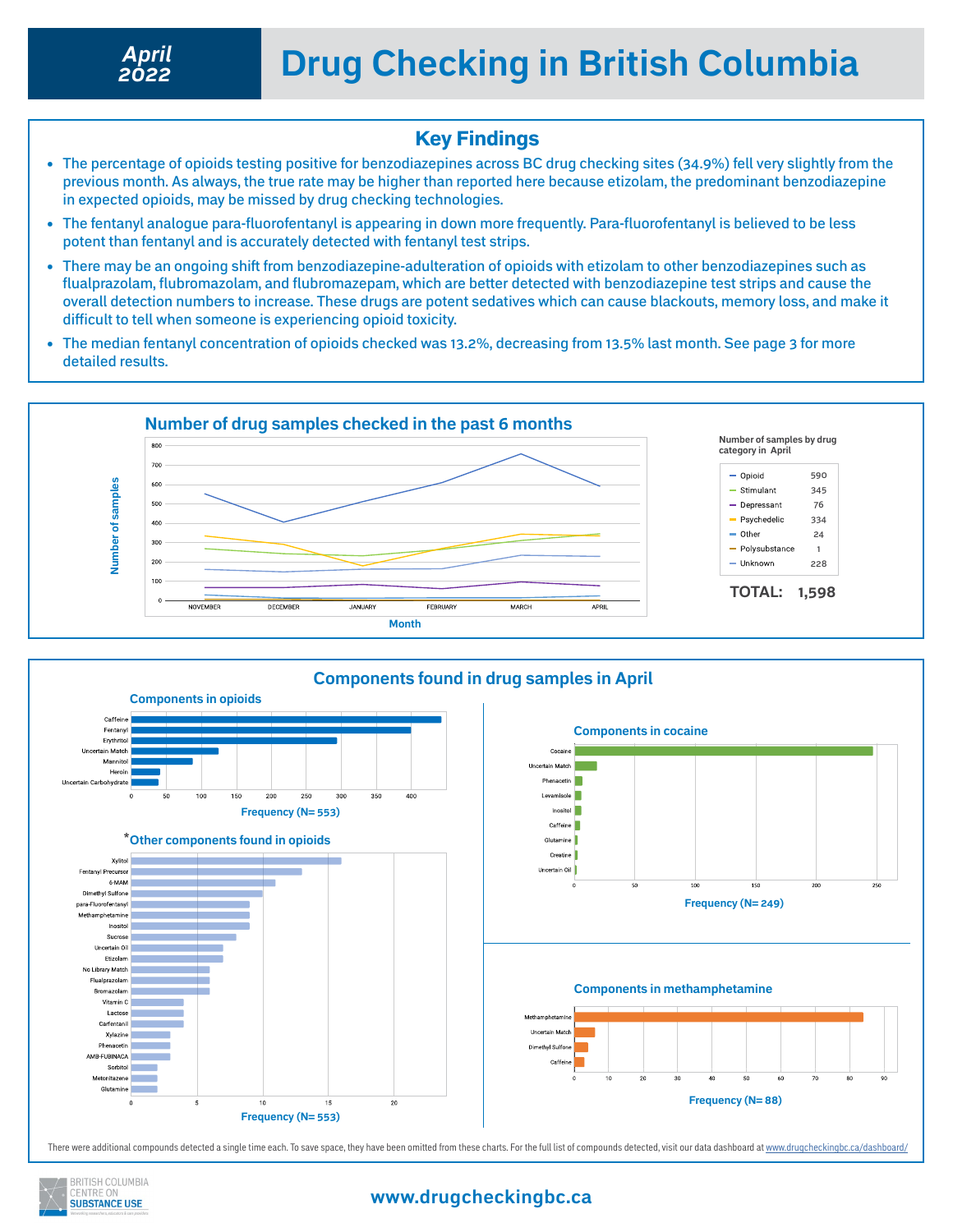*2022*

### Key Findings

- The percentage of opioids testing positive for benzodiazepines across BC drug checking sites (34.9%) fell very slightly from the previous month. As always, the true rate may be higher than reported here because etizolam, the predominant benzodiazepine in expected opioids, may be missed by drug checking technologies.
- The fentanyl analogue para-fluorofentanyl is appearing in down more frequently. Para-fluorofentanyl is believed to be less potent than fentanyl and is accurately detected with fentanyl test strips.
- There may be an ongoing shift from benzodiazepine-adulteration of opioids with etizolam to other benzodiazepines such as flualprazolam, flubromazolam, and flubromazepam, which are better detected with benzodiazepine test strips and cause the overall detection numbers to increase. These drugs are potent sedatives which can cause blackouts, memory loss, and make it difficult to tell when someone is experiencing opioid toxicity.
- The median fentanyl concentration of opioids checked was 13.2%, decreasing from 13.5% last month. See page 3 for more detailed results.





There were additional compounds detected a single time each. To save space, they have been omitted from these charts. For the full list of compounds detected, visit our data dashboard at<www.drugcheckingbc.ca/dashboard/>



### **www.drugcheckingbc.ca**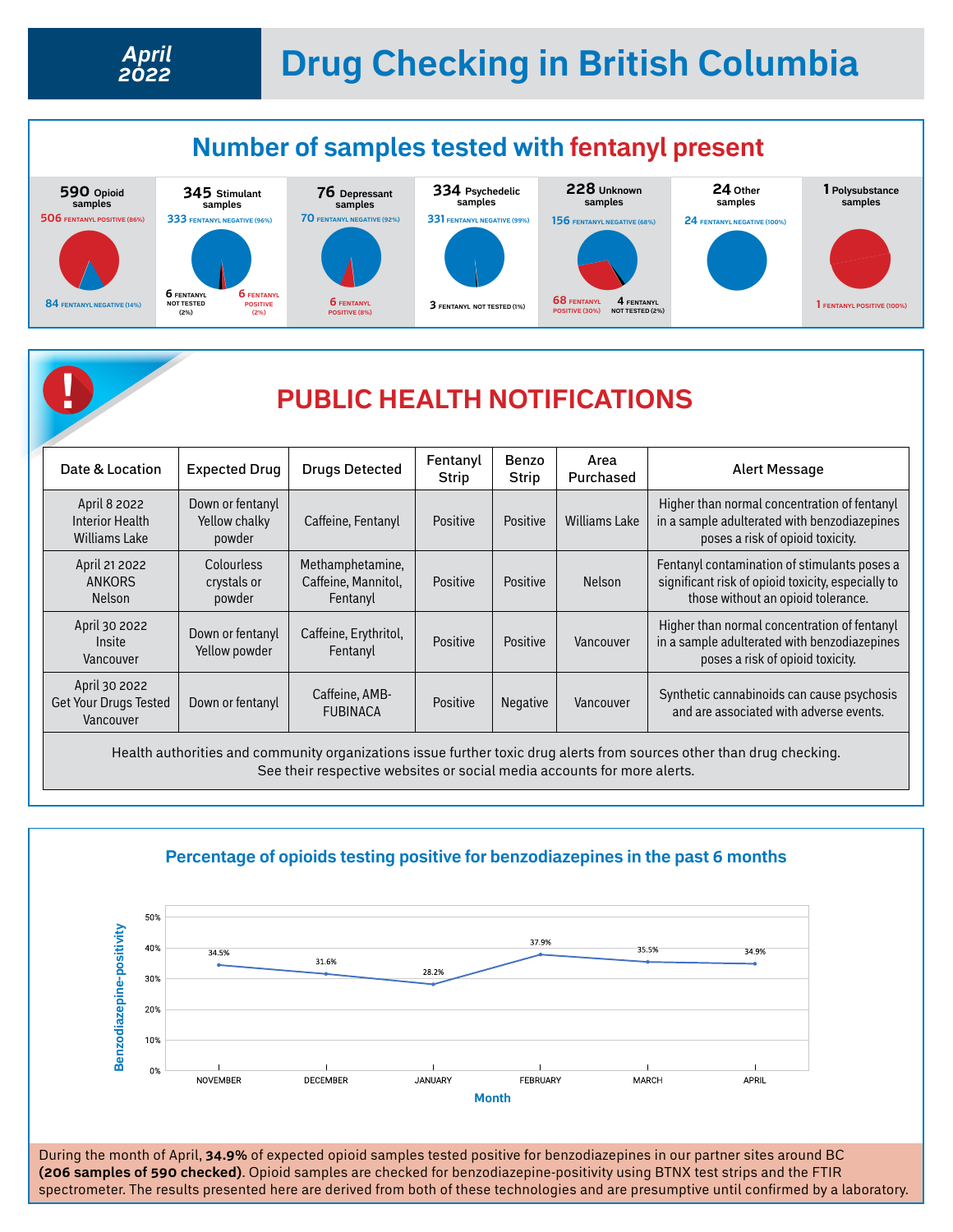*2022*

April 21 2022 ANKORS Nelson

April 30 2022 Insite Vancouver

April 30 2022 Get Your Drugs Tested Vancouver

**Colourless** crystals or powder

Down or fentanyl Yellow powder

Down or fentanyl Caffeine, AMB-

Methamphetamine, Caffeine, Mannitol, Fentanyl

Caffeine, Erythritol,

# **Drug Checking in British Columbia** *April*



Health authorities and community organizations issue further toxic drug alerts from sources other than drug checking. See their respective websites or social media accounts for more alerts.

mc, Erytimiot, | Positive | Positive | Vancouver<br>Fentanyl

Positive | Positive | Nelson

Fentanyl contamination of stimulants poses a significant risk of opioid toxicity, especially to those without an opioid tolerance.

Higher than normal concentration of fentanyl in a sample adulterated with benzodiazepines poses a risk of opioid toxicity.

and are associated with adverse events.

Positive Negative Vancouver Synthetic cannabinoids can cause psychosis



During the month of April, **34.9%** of expected opioid samples tested positive for benzodiazepines in our partner sites around BC **(206 samples of 590 checked)**. Opioid samples are checked for benzodiazepine-positivity using BTNX test strips and the FTIR spectrometer. The results presented here are derived from both of these technologies and are presumptive until confirmed by a laboratory.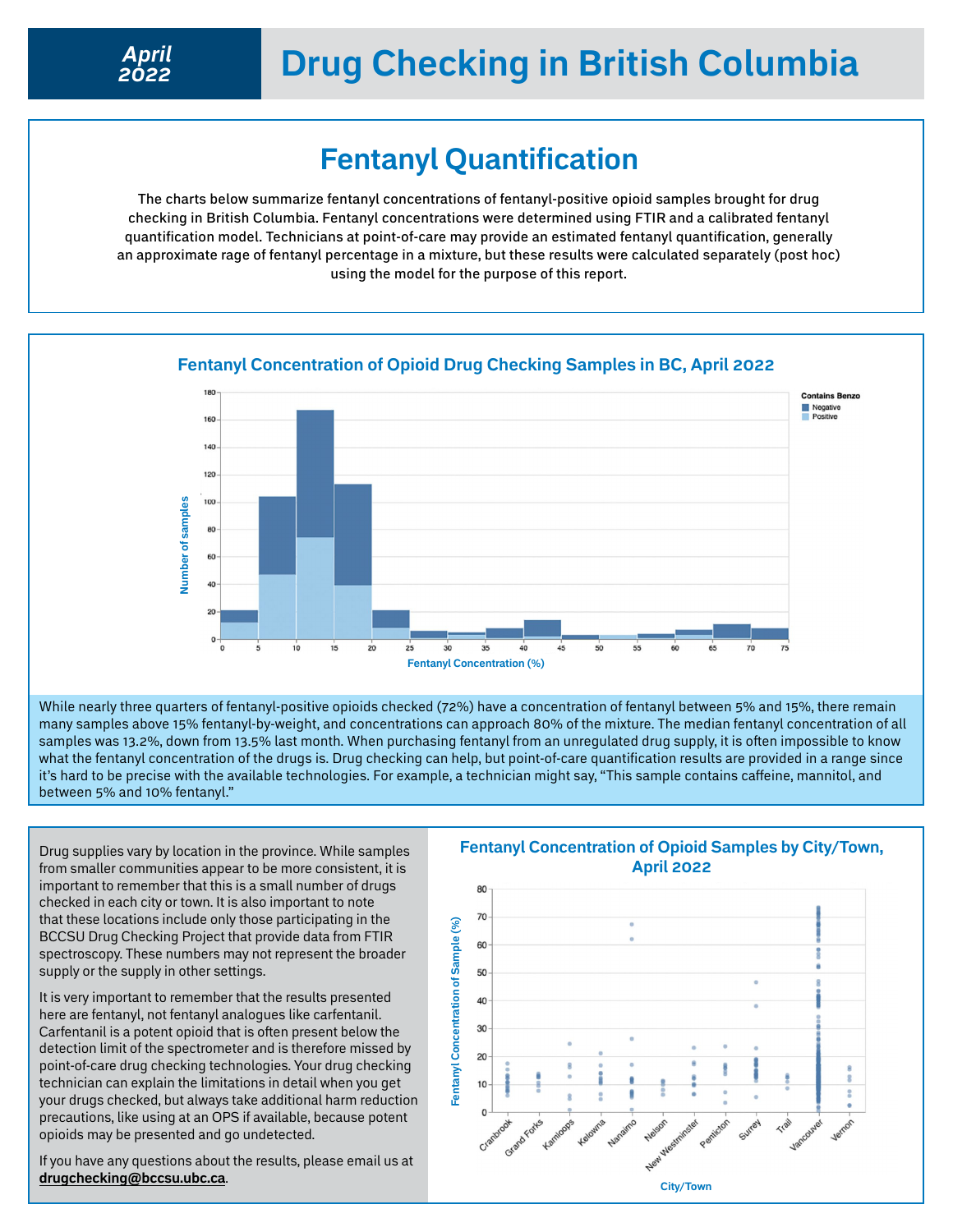## **Drug Checking in British Columbia**

### **Fentanyl Quantification**

The charts below summarize fentanyl concentrations of fentanyl-positive opioid samples brought for drug checking in British Columbia. Fentanyl concentrations were determined using FTIR and a calibrated fentanyl quantification model. Technicians at point-of-care may provide an estimated fentanyl quantification, generally an approximate rage of fentanyl percentage in a mixture, but these results were calculated separately (post hoc) using the model for the purpose of this report.



#### **Fentanyl Concentration of Opioid Drug Checking Samples in BC, April 2022**

While nearly three quarters of fentanyl-positive opioids checked (72%) have a concentration of fentanyl between 5% and 15%, there remain many samples above 15% fentanyl-by-weight, and concentrations can approach 80% of the mixture. The median fentanyl concentration of all samples was 13.2%, down from 13.5% last month. When purchasing fentanyl from an unregulated drug supply, it is often impossible to know what the fentanyl concentration of the drugs is. Drug checking can help, but point-of-care quantification results are provided in a range since it's hard to be precise with the available technologies. For example, a technician might say, "This sample contains caffeine, mannitol, and between 5% and 10% fentanyl."

Drug supplies vary by location in the province. While samples from smaller communities appear to be more consistent, it is important to remember that this is a small number of drugs checked in each city or town. It is also important to note that these locations include only those participating in the BCCSU Drug Checking Project that provide data from FTIR spectroscopy. These numbers may not represent the broader supply or the supply in other settings.

It is very important to remember that the results presented here are fentanyl, not fentanyl analogues like carfentanil. Carfentanil is a potent opioid that is often present below the detection limit of the spectrometer and is therefore missed by point-of-care drug checking technologies. Your drug checking technician can explain the limitations in detail when you get your drugs checked, but always take additional harm reduction precautions, like using at an OPS if available, because potent opioids may be presented and go undetected.

If you have any questions about the results, please email us at **[drugchecking@bccsu.ubc.ca](mailto:drugchecking%40bccsu.ubc.ca?subject=Drug%20Checking)**.

### **Fentanyl Concentration of Opioid Samples by City/Town, April 2022**

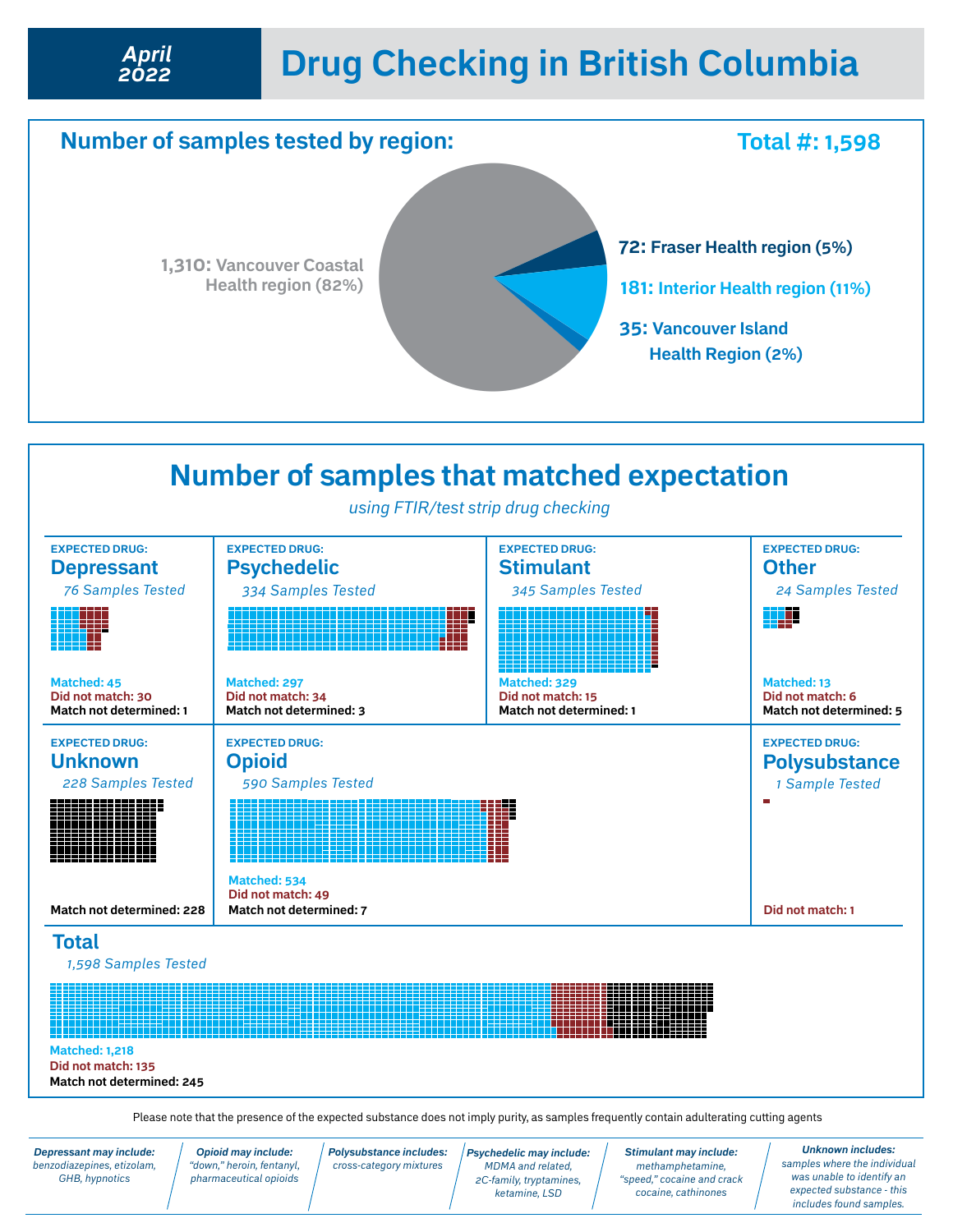## **Drug Checking in British Columbia** *April*





Please note that the presence of the expected substance does not imply purity, as samples frequently contain adulterating cutting agents

*Depressant may include: benzodiazepines, etizolam, GHB, hypnotics*

*2022*

*Opioid may include: "down," heroin, fentanyl, pharmaceutical opioids* *Polysubstance includes: cross-category mixtures*

*Psychedelic may include: MDMA and related, 2C-family, tryptamines, ketamine, LSD* 

*Stimulant may include: methamphetamine, "speed," cocaine and crack cocaine, cathinones*

*Unknown includes: samples where the individual was unable to identify an expected substance - this includes found samples.*